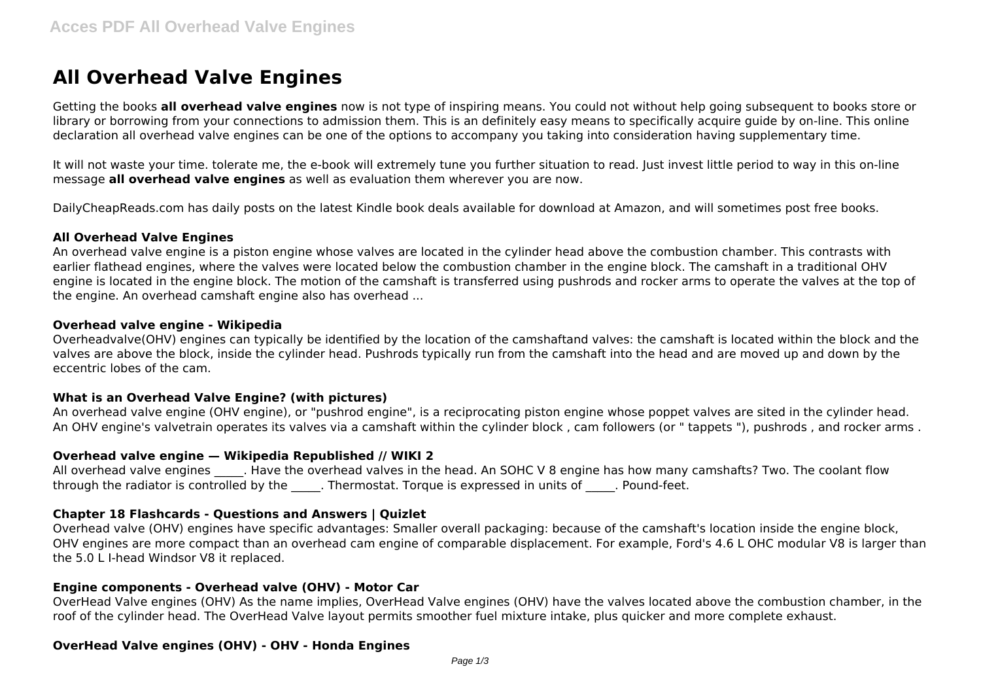# **All Overhead Valve Engines**

Getting the books **all overhead valve engines** now is not type of inspiring means. You could not without help going subsequent to books store or library or borrowing from your connections to admission them. This is an definitely easy means to specifically acquire guide by on-line. This online declaration all overhead valve engines can be one of the options to accompany you taking into consideration having supplementary time.

It will not waste your time. tolerate me, the e-book will extremely tune you further situation to read. Just invest little period to way in this on-line message **all overhead valve engines** as well as evaluation them wherever you are now.

DailyCheapReads.com has daily posts on the latest Kindle book deals available for download at Amazon, and will sometimes post free books.

#### **All Overhead Valve Engines**

An overhead valve engine is a piston engine whose valves are located in the cylinder head above the combustion chamber. This contrasts with earlier flathead engines, where the valves were located below the combustion chamber in the engine block. The camshaft in a traditional OHV engine is located in the engine block. The motion of the camshaft is transferred using pushrods and rocker arms to operate the valves at the top of the engine. An overhead camshaft engine also has overhead ...

#### **Overhead valve engine - Wikipedia**

Overheadvalve(OHV) engines can typically be identified by the location of the camshaftand valves: the camshaft is located within the block and the valves are above the block, inside the cylinder head. Pushrods typically run from the camshaft into the head and are moved up and down by the eccentric lobes of the cam.

## **What is an Overhead Valve Engine? (with pictures)**

An overhead valve engine (OHV engine), or "pushrod engine", is a reciprocating piston engine whose poppet valves are sited in the cylinder head. An OHV engine's valvetrain operates its valves via a camshaft within the cylinder block , cam followers (or " tappets "), pushrods , and rocker arms .

## **Overhead valve engine — Wikipedia Republished // WIKI 2**

All overhead valve engines and Have the overhead valves in the head. An SOHC V 8 engine has how many camshafts? Two. The coolant flow through the radiator is controlled by the . Thermostat. Torque is expressed in units of . Pound-feet.

## **Chapter 18 Flashcards - Questions and Answers | Quizlet**

Overhead valve (OHV) engines have specific advantages: Smaller overall packaging: because of the camshaft's location inside the engine block, OHV engines are more compact than an overhead cam engine of comparable displacement. For example, Ford's 4.6 L OHC modular V8 is larger than the 5.0 L I-head Windsor V8 it replaced.

## **Engine components - Overhead valve (OHV) - Motor Car**

OverHead Valve engines (OHV) As the name implies, OverHead Valve engines (OHV) have the valves located above the combustion chamber, in the roof of the cylinder head. The OverHead Valve layout permits smoother fuel mixture intake, plus quicker and more complete exhaust.

## **OverHead Valve engines (OHV) - OHV - Honda Engines**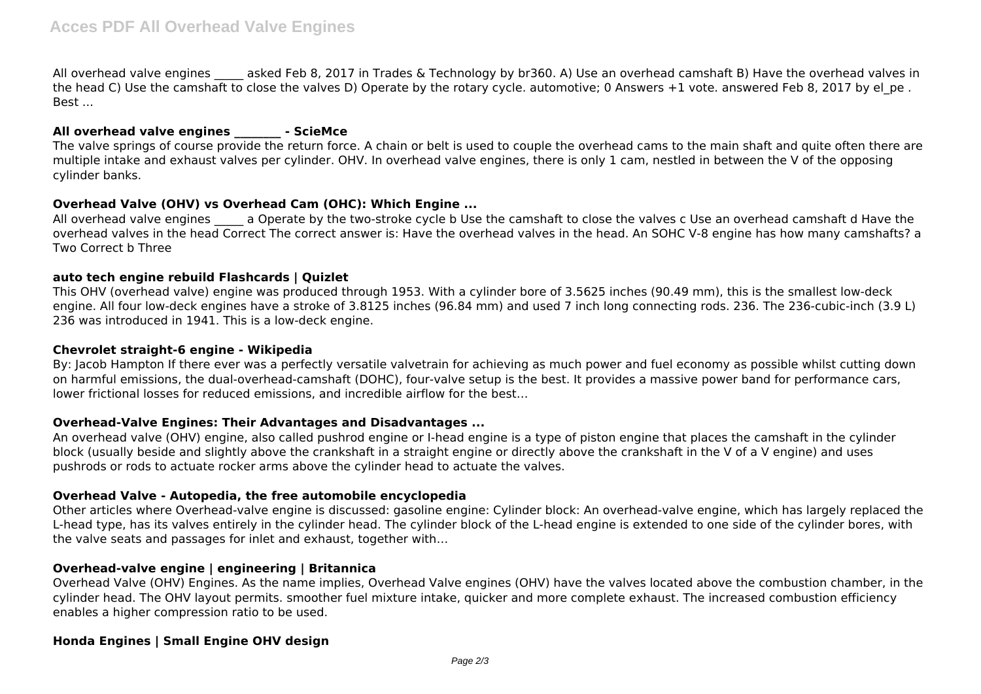All overhead valve engines asked Feb 8, 2017 in Trades & Technology by br360. A) Use an overhead camshaft B) Have the overhead valves in the head C) Use the camshaft to close the valves D) Operate by the rotary cycle. automotive; 0 Answers  $+1$  vote. answered Feb 8, 2017 by el pe. Best ...

## **All overhead valve engines \_\_\_\_\_\_\_\_ - ScieMce**

The valve springs of course provide the return force. A chain or belt is used to couple the overhead cams to the main shaft and quite often there are multiple intake and exhaust valves per cylinder. OHV. In overhead valve engines, there is only 1 cam, nestled in between the V of the opposing cylinder banks.

## **Overhead Valve (OHV) vs Overhead Cam (OHC): Which Engine ...**

All overhead valve engines a Operate by the two-stroke cycle b Use the camshaft to close the valves c Use an overhead camshaft d Have the overhead valves in the head Correct The correct answer is: Have the overhead valves in the head. An SOHC V-8 engine has how many camshafts? a Two Correct b Three

## **auto tech engine rebuild Flashcards | Quizlet**

This OHV (overhead valve) engine was produced through 1953. With a cylinder bore of 3.5625 inches (90.49 mm), this is the smallest low-deck engine. All four low-deck engines have a stroke of 3.8125 inches (96.84 mm) and used 7 inch long connecting rods. 236. The 236-cubic-inch (3.9 L) 236 was introduced in 1941. This is a low-deck engine.

#### **Chevrolet straight-6 engine - Wikipedia**

By: Jacob Hampton If there ever was a perfectly versatile valvetrain for achieving as much power and fuel economy as possible whilst cutting down on harmful emissions, the dual-overhead-camshaft (DOHC), four-valve setup is the best. It provides a massive power band for performance cars, lower frictional losses for reduced emissions, and incredible airflow for the best…

## **Overhead-Valve Engines: Their Advantages and Disadvantages ...**

An overhead valve (OHV) engine, also called pushrod engine or I-head engine is a type of piston engine that places the camshaft in the cylinder block (usually beside and slightly above the crankshaft in a straight engine or directly above the crankshaft in the V of a V engine) and uses pushrods or rods to actuate rocker arms above the cylinder head to actuate the valves.

## **Overhead Valve - Autopedia, the free automobile encyclopedia**

Other articles where Overhead-valve engine is discussed: gasoline engine: Cylinder block: An overhead-valve engine, which has largely replaced the L-head type, has its valves entirely in the cylinder head. The cylinder block of the L-head engine is extended to one side of the cylinder bores, with the valve seats and passages for inlet and exhaust, together with…

## **Overhead-valve engine | engineering | Britannica**

Overhead Valve (OHV) Engines. As the name implies, Overhead Valve engines (OHV) have the valves located above the combustion chamber, in the cylinder head. The OHV layout permits. smoother fuel mixture intake, quicker and more complete exhaust. The increased combustion efficiency enables a higher compression ratio to be used.

## **Honda Engines | Small Engine OHV design**